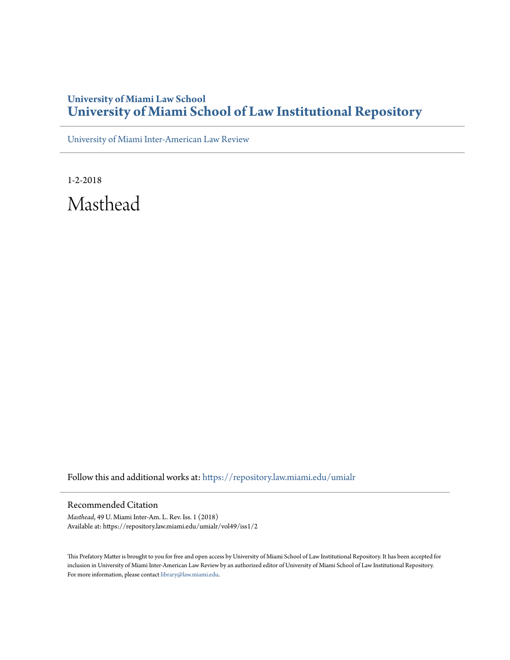## **University of Miami Law School [University of Miami School of Law Institutional Repository](https://repository.law.miami.edu?utm_source=repository.law.miami.edu%2Fumialr%2Fvol49%2Fiss1%2F2&utm_medium=PDF&utm_campaign=PDFCoverPages)**

[University of Miami Inter-American Law Review](https://repository.law.miami.edu/umialr?utm_source=repository.law.miami.edu%2Fumialr%2Fvol49%2Fiss1%2F2&utm_medium=PDF&utm_campaign=PDFCoverPages)

1-2-2018 Masthead

Follow this and additional works at: [https://repository.law.miami.edu/umialr](https://repository.law.miami.edu/umialr?utm_source=repository.law.miami.edu%2Fumialr%2Fvol49%2Fiss1%2F2&utm_medium=PDF&utm_campaign=PDFCoverPages)

Recommended Citation

*Masthead*, 49 U. Miami Inter-Am. L. Rev. Iss. 1 (2018) Available at: https://repository.law.miami.edu/umialr/vol49/iss1/2

This Prefatory Matter is brought to you for free and open access by University of Miami School of Law Institutional Repository. It has been accepted for inclusion in University of Miami Inter-American Law Review by an authorized editor of University of Miami School of Law Institutional Repository. For more information, please contact [library@law.miami.edu](mailto:library@law.miami.edu).